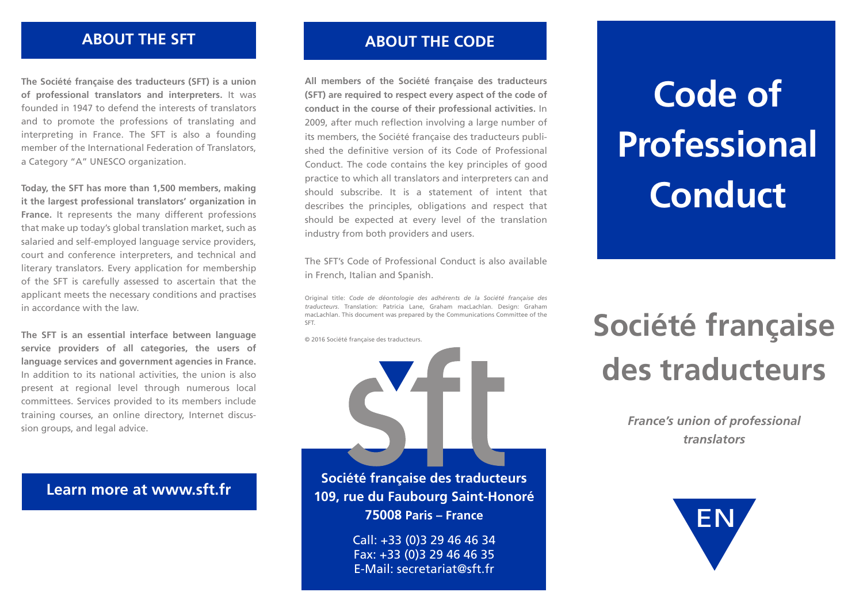#### **ABOUT THE SFT ABOUT THE CODE**

**The Société française des traducteurs (SFT) is a union of professional translators and interpreters.** It was founded in 1947 to defend the interests of translators and to promote the professions of translating and interpreting in France. The SFT is also a founding member of the International Federation of Translators, a Category "A" UNESCO organization.

**Today, the SFT has more than 1,500 members, making it the largest professional translators' organization in France.** It represents the many different professions that make up today's global translation market, such as salaried and self-employed language service providers, court and conference interpreters, and technical and literary translators. Every application for membership of the SFT is carefully assessed to ascertain that the applicant meets the necessary conditions and practises in accordance with the law.

**The SFT is an essential interface between language service providers of all categories, the users of language services and government agencies in France.**  In addition to its national activities, the union is also present at regional level through numerous local committees. Services provided to its members include training courses, an online directory, Internet discussion groups, and legal advice.

### **Learn more at www.sft.fr**

**All members of the Société française des traducteurs (SFT) are required to respect every aspect of the code of conduct in the course of their professional activities.** In 2009, after much reflection involving a large number of its members, the Société française des traducteurs published the definitive version of its Code of Professional Conduct. The code contains the key principles of good practice to which all translators and interpreters can and should subscribe. It is a statement of intent that describes the principles, obligations and respect that should be expected at every level of the translation industry from both providers and users.

The SFT's Code of Professional Conduct is also available in French, Italian and Spanish.

Original title: *Code de déontologie des adhérents de la Société française des traducteurs*. Translation: Patricia Lane, Graham macLachlan. Design: Graham macLachlan. This document was prepared by the Communications Committee of the SFT.

© 2016 Société française des traducteurs.



**Société française des traducteurs 109, rue du Faubourg Saint-Honoré 75008 Paris – France**

> Call: +33 (0)3 29 46 46 34 Fax: +33 (0)3 29 46 46 35 E-Mail: secretariat@sft.fr

## **Code of Professional Conduct**

## **Société française des traducteurs**

*professioneller France's union of professional Sprachmittler translators*